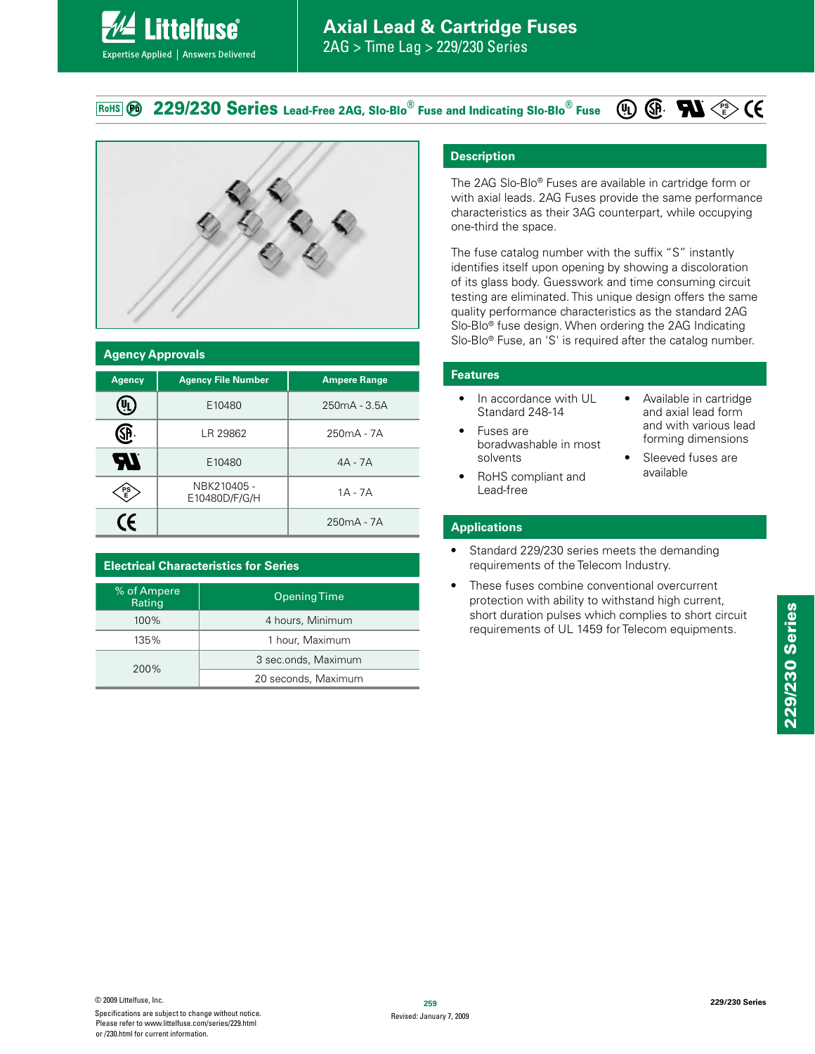**229/230 Series Lead-Free 2AG, Slo-Blo® Fuse and Indicating Slo-Blo® Fuse** RoHS **PO** 



**ittelfuse** 

Expertise Applied | Answers Delivered

| <b>Agency Approvals</b> |                              |                     |  |  |  |
|-------------------------|------------------------------|---------------------|--|--|--|
| <b>Agency</b>           | <b>Agency File Number</b>    | <b>Ampere Range</b> |  |  |  |
|                         | E10480                       | $250mA - 3.5A$      |  |  |  |
| SP.                     | LR 29862                     | $250mA - 7A$        |  |  |  |
| EV.                     | E10480                       | $4A - 7A$           |  |  |  |
| PS<br>E                 | NBK210405 -<br>E10480D/F/G/H | $1A - 7A$           |  |  |  |
| (f                      |                              | $250mA - 7A$        |  |  |  |

| % of Ampere<br>Rating | <b>Opening Time</b> |  |  |
|-----------------------|---------------------|--|--|
| $100\%$               | 4 hours, Minimum    |  |  |
| 135%                  | 1 hour, Maximum     |  |  |
| 200%                  | 3 sec.onds, Maximum |  |  |
|                       | 20 seconds, Maximum |  |  |

### **Description**

The 2AG Slo-Blo® Fuses are available in cartridge form or with axial leads. 2AG Fuses provide the same performance characteristics as their 3AG counterpart, while occupying one-third the space.

The fuse catalog number with the suffix "S" instantly identifies itself upon opening by showing a discoloration of its glass body. Guesswork and time consuming circuit testing are eliminated. This unique design offers the same quality performance characteristics as the standard 2AG Slo-Blo® fuse design. When ordering the 2AG Indicating Slo-Blo® Fuse, an 'S' is required after the catalog number.

> • Available in cartridge and axial lead form and with various lead forming dimensions • Sleeved fuses are available

**PS E**

#### **Features**

- In accordance with UL Standard 248-14
- Fuses are boradwashable in most solvents
- RoHS compliant and Lead-free

# **Applications**

- Standard 229/230 series meets the demanding requirements of the Telecom Industry.
- These fuses combine conventional overcurrent protection with ability to withstand high current, short duration pulses which complies to short circuit requirements of UL 1459 for Telecom equipments.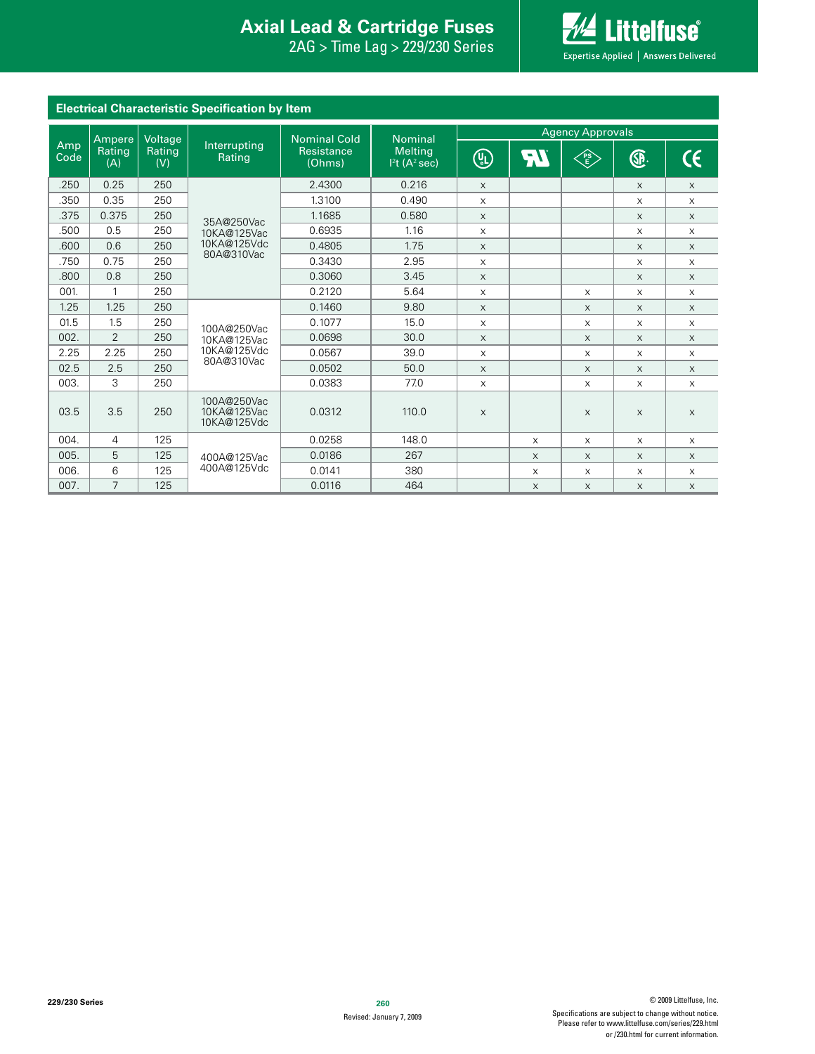#### **Interproduced Avan Exists Protection Axial Lead & Cartridge Fuses Axial Lead & Cartridge Fuses**

229/230 Series "(5JNF-BH4FSJFT



| <b>Electrical Characteristic Specification by Item</b> |                   |               |                                           |                      |                                                        |                         |          |            |          |             |
|--------------------------------------------------------|-------------------|---------------|-------------------------------------------|----------------------|--------------------------------------------------------|-------------------------|----------|------------|----------|-------------|
|                                                        | Ampere<br>Voltage |               |                                           | <b>Nominal Cold</b>  | <b>Nominal</b>                                         | <b>Agency Approvals</b> |          |            |          |             |
| Amp<br>Code                                            | Rating<br>(A)     | Rating<br>(V) | Interrupting<br>Rating                    | Resistance<br>(Ohms) | <b>Melting</b><br>1 <sup>2</sup> t(A <sup>2</sup> sec) | (U)                     | ŖI       | ∕PS<br>∖€∕ | <b>⊕</b> | CE          |
| .250                                                   | 0.25              | 250           |                                           | 2.4300               | 0.216                                                  | $\times$                |          |            | X        | $\times$    |
| .350                                                   | 0.35              | 250           |                                           | 1.3100               | 0.490                                                  | $\mathsf X$             |          |            | X        | $\mathsf X$ |
| .375                                                   | 0.375             | 250           | 35A@250Vac                                | 1.1685               | 0.580                                                  | $\times$                |          |            | X        | $\mathsf X$ |
| .500                                                   | 0.5               | 250           | 10KA@125Vac                               | 0.6935               | 1.16                                                   | $\times$                |          |            | $\times$ | $\times$    |
| .600                                                   | 0.6               | 250           | 10KA@125Vdc<br>80A@310Vac                 | 0.4805               | 1.75                                                   | $\times$                |          |            | $\times$ | $\times$    |
| .750                                                   | 0.75              | 250           |                                           | 0.3430               | 2.95                                                   | $\times$                |          |            | $\times$ | $\times$    |
| .800                                                   | 0.8               | 250           |                                           | 0.3060               | 3.45                                                   | $\times$                |          |            | X        | $\times$    |
| 001.                                                   | $\mathbf{1}$      | 250           |                                           | 0.2120               | 5.64                                                   | X                       |          | X          | X        | $\mathsf X$ |
| 1.25                                                   | 1.25              | 250           |                                           | 0.1460               | 9.80                                                   | $\times$                |          | X          | $\times$ | $\times$    |
| 01.5                                                   | 1.5               | 250           | 100A@250Vac                               | 0.1077               | 15.0                                                   | X                       |          | $\times$   | X        | $\times$    |
| 002.                                                   | 2                 | 250           | 10KA@125Vac                               | 0.0698               | 30.0                                                   | $\times$                |          | X          | $\times$ | $\times$    |
| 2.25                                                   | 2.25              | 250           | 10KA@125Vdc<br>80A@310Vac                 | 0.0567               | 39.0                                                   | $\mathsf X$             |          | X          | X        | $\mathsf X$ |
| 02.5                                                   | 2.5               | 250           |                                           | 0.0502               | 50.0                                                   | $\times$                |          | $\times$   | $\times$ | $\times$    |
| 003.                                                   | 3                 | 250           |                                           | 0.0383               | 77.0                                                   | $\times$                |          | $\times$   | X        | $\mathsf X$ |
| 03.5                                                   | 3.5               | 250           | 100A@250Vac<br>10KA@125Vac<br>10KA@125Vdc | 0.0312               | 110.0                                                  | $\times$                |          | X          | $\times$ | $\mathsf X$ |
| 004.                                                   | $\overline{4}$    | 125           |                                           | 0.0258               | 148.0                                                  |                         | $\times$ | $\times$   | $\times$ | $\times$    |
| 005.                                                   | 5                 | 125           | 400A@125Vac                               | 0.0186               | 267                                                    |                         | $\times$ | $\times$   | $\times$ | $\mathsf X$ |
| 006.                                                   | 6                 | 125           | 400A@125Vdc                               | 0.0141               | 380                                                    |                         | X        | $\times$   | $\times$ | $\times$    |
| 007.                                                   | $\overline{7}$    | 125           |                                           | 0.0116               | 464                                                    |                         | $\times$ | $\times$   | $\times$ | $\mathsf X$ |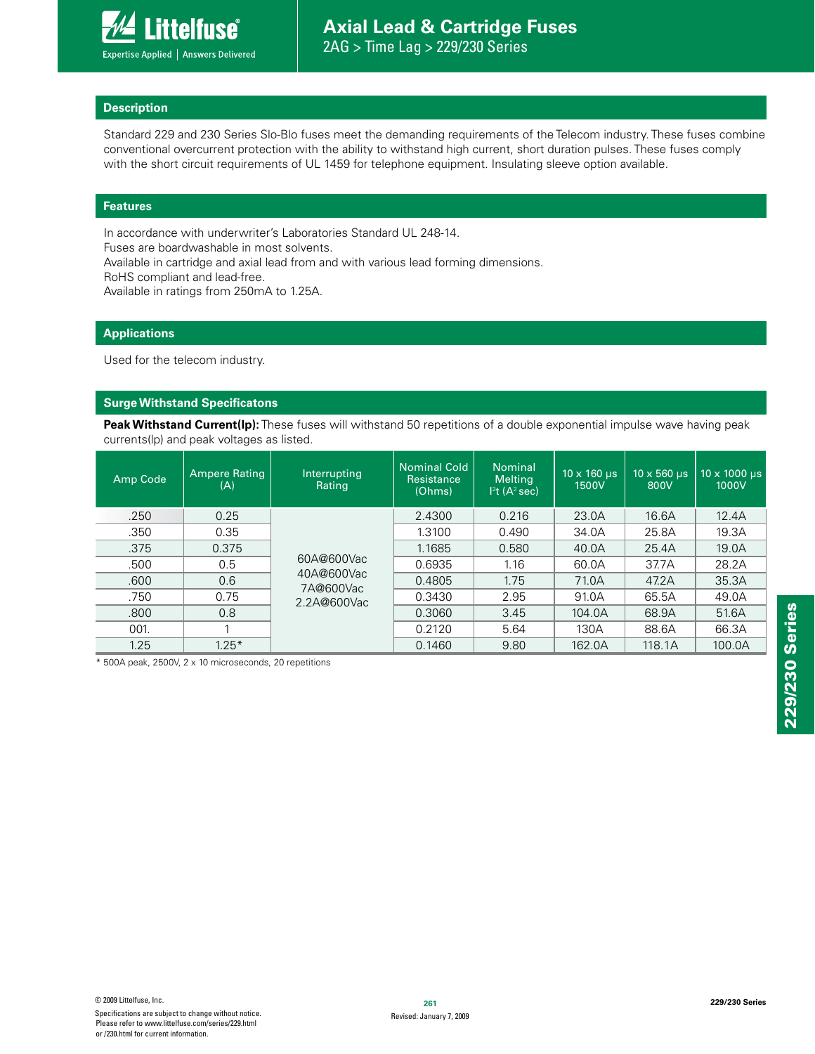#### **Description**

Standard 229 and 230 Series Slo-Blo fuses meet the demanding requirements of the Telecom industry. These fuses combine conventional overcurrent protection with the ability to withstand high current, short duration pulses. These fuses comply with the short circuit requirements of UL 1459 for telephone equipment. Insulating sleeve option available.

#### **Features**

In accordance with underwriter's Laboratories Standard UL 248-14.

Fuses are boardwashable in most solvents.

Available in cartridge and axial lead from and with various lead forming dimensions.

RoHS compliant and lead-free.

Available in ratings from 250mA to 1.25A.

#### **Applications**

Used for the telecom industry.

#### **Surge Withstand Specificatons**

**Peak Withstand Current(lp):** These fuses will withstand 50 repetitions of a double exponential impulse wave having peak currents(lp) and peak voltages as listed.

| Amp Code | <b>Ampere Rating</b><br>(A) | Interrupting<br>Rating                               | <b>Nominal Cold</b><br>Resistance<br>(Ohms) | <b>Nominal</b><br><b>Melting</b><br>1 <sup>2</sup> t(A <sup>2</sup> sec) | $10 \times 160$ µs<br>1500V | $10 \times 560$ µs<br>800V | $10 \times 1000$ µs<br>1000V |
|----------|-----------------------------|------------------------------------------------------|---------------------------------------------|--------------------------------------------------------------------------|-----------------------------|----------------------------|------------------------------|
| .250     | 0.25                        |                                                      | 2.4300                                      | 0.216                                                                    | 23.0A                       | 16.6A                      | 12.4A                        |
| .350     | 0.35                        | 60A@600Vac<br>40A@600Vac<br>7A@600Vac<br>2.2A@600Vac | 1.3100                                      | 0.490                                                                    | 34.0A                       | 25.8A                      | 19.3A                        |
| .375     | 0.375                       |                                                      | 1.1685                                      | 0.580                                                                    | 40.0A                       | 25.4A                      | 19.0A                        |
| .500     | 0.5                         |                                                      | 0.6935                                      | 1.16                                                                     | 60.0A                       | 37.7A                      | 28.2A                        |
| .600     | 0.6                         |                                                      | 0.4805                                      | 1.75                                                                     | 71.0A                       | 47.2A                      | 35.3A                        |
| .750     | 0.75                        |                                                      | 0.3430                                      | 2.95                                                                     | 91.0A                       | 65.5A                      | 49.0A                        |
| .800     | 0.8                         |                                                      | 0.3060                                      | 3.45                                                                     | 104.0A                      | 68.9A                      | 51.6A                        |
| 001.     |                             |                                                      | 0.2120                                      | 5.64                                                                     | 130A                        | 88.6A                      | 66.3A                        |
| 1.25     | $1.25*$                     |                                                      | 0.1460                                      | 9.80                                                                     | 162.0A                      | 118.1A                     | 100.0A                       |

\* 500A peak, 2500V, 2 x 10 microseconds, 20 repetitions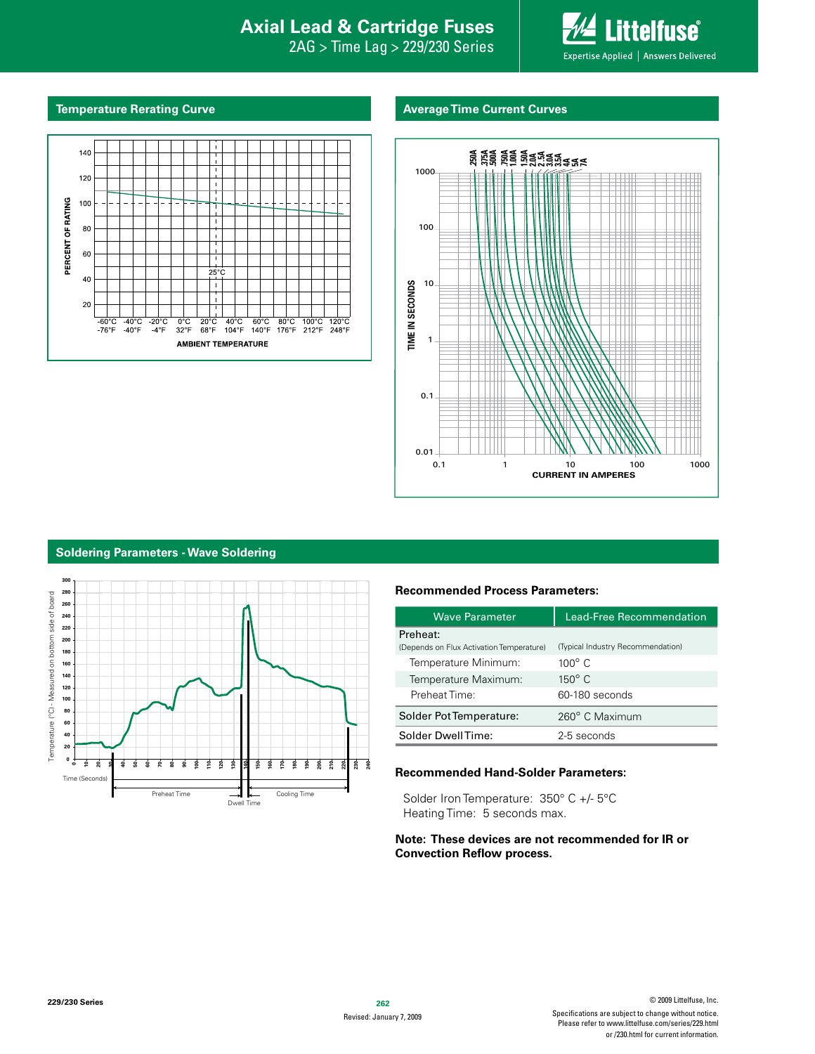## **Interproduction Interacts Axial Lead & Cartridge Fuses**

2AG > Time Lag > 229/230 Series



#### **Temperature Rerating Curve Average Time Current Curves**





#### **Soldering Parameters - Wave Soldering**



#### **Recommended Process Parameters:**

| <b>Wave Parameter</b>                                | <b>Lead-Free Recommendation</b>   |  |  |
|------------------------------------------------------|-----------------------------------|--|--|
| Preheat:<br>(Depends on Flux Activation Temperature) | (Typical Industry Recommendation) |  |  |
| Temperature Minimum:                                 | $100^\circ$ C                     |  |  |
| Temperature Maximum:                                 | $150^{\circ}$ C                   |  |  |
| Preheat Time:                                        | 60-180 seconds                    |  |  |
| Solder Pot Temperature:                              | 260° C Maximum                    |  |  |
| Solder DwellTime:                                    | 2-5 seconds                       |  |  |

#### **Recommended Hand-Solder Parameters:**

Solder Iron Temperature: 350° C +/- 5°C Heating Time: 5 seconds max.

#### **Note: These devices are not recommended for IR or Convection Reflow process.**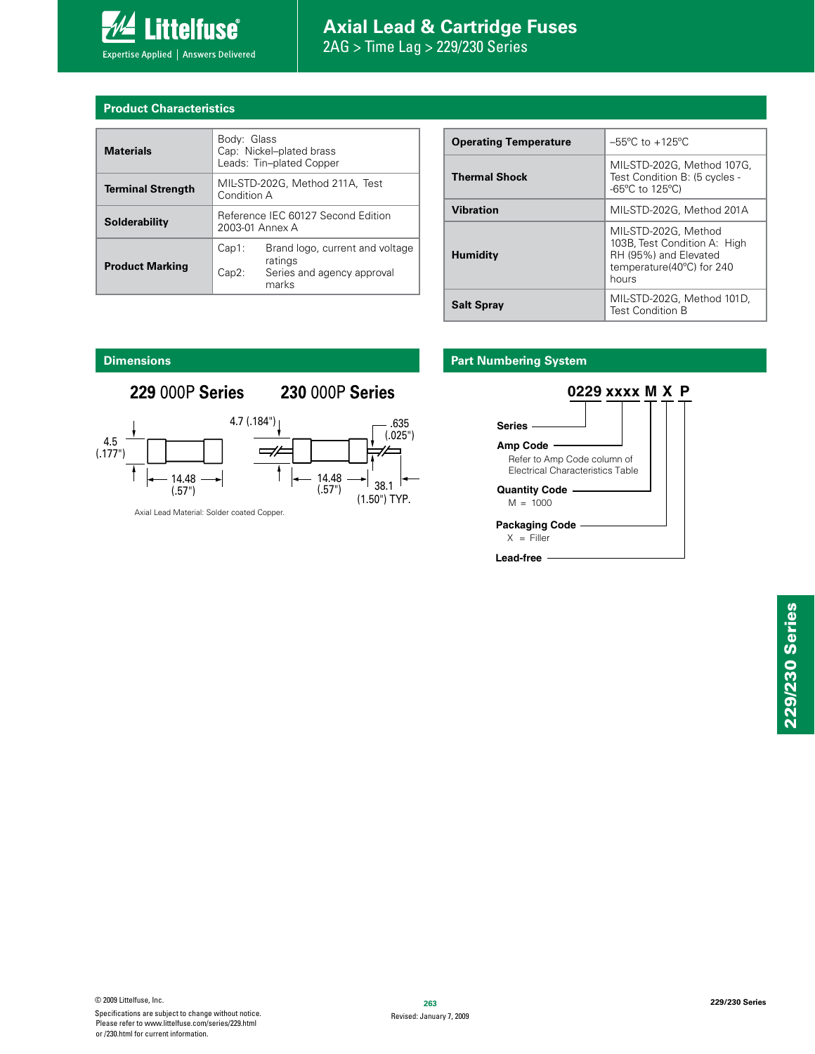

# **Axial Lead & Cartridge Fuses**

 $2AG > Time$  Lag  $> 229/230$  Series

#### **Product Characteristics**

| <b>Materials</b>         | Body: Glass<br>Cap: Nickel-plated brass<br>Leads: Tin-plated Copper |                                                                                   |  |  |
|--------------------------|---------------------------------------------------------------------|-----------------------------------------------------------------------------------|--|--|
| <b>Terminal Strength</b> | MIL-STD-202G, Method 211A, Test<br>Condition A                      |                                                                                   |  |  |
| Solderability            | Reference IEC 60127 Second Edition<br>2003-01 Annex A               |                                                                                   |  |  |
| <b>Product Marking</b>   | $Cap1$ :<br>Cap2:                                                   | Brand logo, current and voltage<br>ratings<br>Series and agency approval<br>marks |  |  |

| <b>Operating Temperature</b> | $-55^{\circ}$ C to $+125^{\circ}$ C                                                                                 |  |  |
|------------------------------|---------------------------------------------------------------------------------------------------------------------|--|--|
| <b>Thermal Shock</b>         | MIL-STD-202G, Method 107G,<br>Test Condition B: (5 cycles -<br>$-65^{\circ}$ C to 125 $^{\circ}$ C)                 |  |  |
| <b>Vibration</b>             | MIL-STD-202G, Method 201A                                                                                           |  |  |
| <b>Humidity</b>              | MIL-STD-202G, Method<br>103B, Test Condition A: High<br>RH (95%) and Elevated<br>temperature(40°C) for 240<br>hours |  |  |
| <b>Salt Spray</b>            | MIL-STD-202G, Method 101D,<br><b>Test Condition B</b>                                                               |  |  |

### **Part Numbering System**



### **Dimensions**

### **229** 000P **Series 230** 000P **Series**